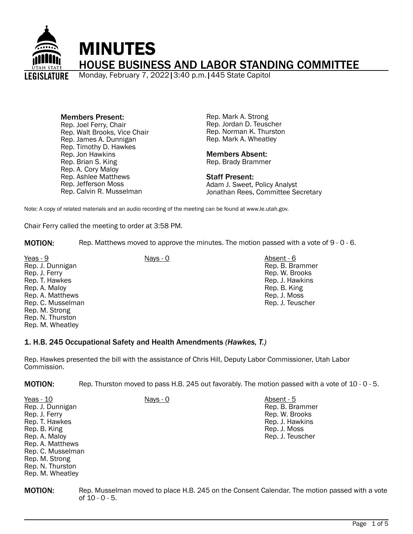

Members Present: Rep. Joel Ferry, Chair Rep. Walt Brooks, Vice Chair Rep. James A. Dunnigan Rep. Timothy D. Hawkes Rep. Jon Hawkins Rep. Brian S. King Rep. A. Cory Maloy Rep. Ashlee Matthews Rep. Jefferson Moss Rep. Calvin R. Musselman

Rep. Mark A. Strong Rep. Jordan D. Teuscher Rep. Norman K. Thurston Rep. Mark A. Wheatley

#### Members Absent: Rep. Brady Brammer

Staff Present:

Adam J. Sweet, Policy Analyst Jonathan Rees, Committee Secretary

Note: A copy of related materials and an audio recording of the meeting can be found at www.le.utah.gov.

Chair Ferry called the meeting to order at 3:58 PM.

MOTION: Rep. Matthews moved to approve the minutes. The motion passed with a vote of 9 - 0 - 6.

Yeas - 9 Nays - 0 Absent - 6 Rep. J. Dunnigan Rep. J. Ferry Rep. T. Hawkes Rep. A. Maloy Rep. A. Matthews Rep. C. Musselman Rep. M. Strong Rep. N. Thurston Rep. M. Wheatley

Rep. M. Wheatley

Rep. B. Brammer Rep. W. Brooks Rep. J. Hawkins Rep. B. King Rep. J. Moss Rep. J. Teuscher

### 1. H.B. 245 Occupational Safety and Health Amendments *(Hawkes, T.)*

Rep. Hawkes presented the bill with the assistance of Chris Hill, Deputy Labor Commissioner, Utah Labor Commission.

MOTION: Rep. Thurston moved to pass H.B. 245 out favorably. The motion passed with a vote of 10 - 0 - 5.

| Yeas - 10         | Nays - 0 | Absent - 5       |
|-------------------|----------|------------------|
| Rep. J. Dunnigan  |          | Rep. B. Brammer  |
| Rep. J. Ferry     |          | Rep. W. Brooks   |
| Rep. T. Hawkes    |          | Rep. J. Hawkins  |
| Rep. B. King      |          | Rep. J. Moss     |
| Rep. A. Maloy     |          | Rep. J. Teuscher |
| Rep. A. Matthews  |          |                  |
| Rep. C. Musselman |          |                  |
| Rep. M. Strong    |          |                  |
| Rep. N. Thurston  |          |                  |

**MOTION:** Rep. Musselman moved to place H.B. 245 on the Consent Calendar. The motion passed with a vote of 10 - 0 - 5.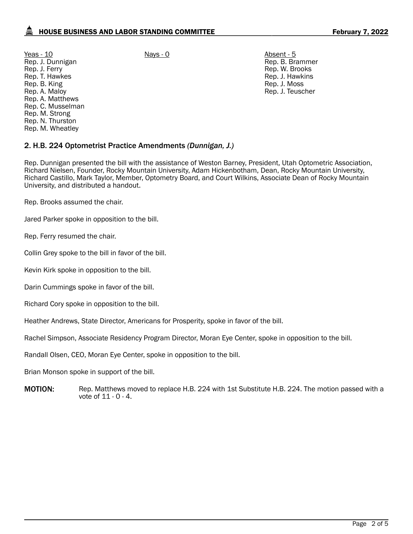Yeas - 10 Nays - 0 Absent - 5 Rep. J. Dunnigan Rep. J. Ferry Rep. T. Hawkes Rep. B. King Rep. A. Maloy Rep. A. Matthews Rep. C. Musselman Rep. M. Strong Rep. N. Thurston Rep. M. Wheatley

Rep. B. Brammer Rep. W. Brooks Rep. J. Hawkins Rep. J. Moss Rep. J. Teuscher

# 2. H.B. 224 Optometrist Practice Amendments *(Dunnigan, J.)*

Rep. Dunnigan presented the bill with the assistance of Weston Barney, President, Utah Optometric Association, Richard Nielsen, Founder, Rocky Mountain University, Adam Hickenbotham, Dean, Rocky Mountain University, Richard Castillo, Mark Taylor, Member, Optometry Board, and Court Wilkins, Associate Dean of Rocky Mountain University, and distributed a handout.

Rep. Brooks assumed the chair.

Jared Parker spoke in opposition to the bill.

Rep. Ferry resumed the chair.

Collin Grey spoke to the bill in favor of the bill.

Kevin Kirk spoke in opposition to the bill.

Darin Cummings spoke in favor of the bill.

Richard Cory spoke in opposition to the bill.

Heather Andrews, State Director, Americans for Prosperity, spoke in favor of the bill.

Rachel Simpson, Associate Residency Program Director, Moran Eye Center, spoke in opposition to the bill.

Randall Olsen, CEO, Moran Eye Center, spoke in opposition to the bill.

Brian Monson spoke in support of the bill.

**MOTION:** Rep. Matthews moved to replace H.B. 224 with 1st Substitute H.B. 224. The motion passed with a vote of 11 - 0 - 4.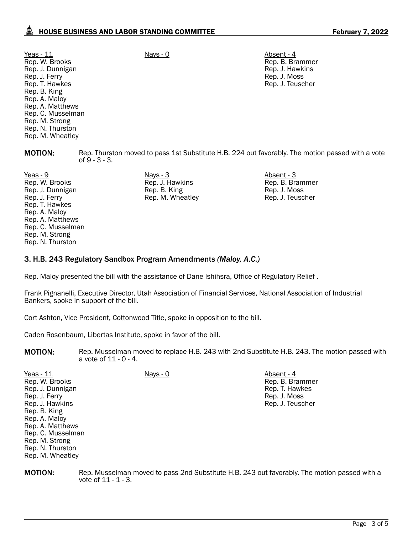Yeas - 11 Nays - 0 Nays - 0 Absent - 4 Rep. W. Brooks Rep. J. Dunnigan Rep. J. Ferry Rep. T. Hawkes Rep. B. King Rep. A. Maloy Rep. A. Matthews Rep. C. Musselman Rep. M. Strong Rep. N. Thurston Rep. M. Wheatley

Rep. B. Brammer Rep. J. Hawkins Rep. J. Moss Rep. J. Teuscher

**MOTION:** Rep. Thurston moved to pass 1st Substitute H.B. 224 out favorably. The motion passed with a vote of 9 - 3 - 3.

Yeas - 9 Nays - 3 Absent - 3 Rep. W. Brooks Rep. J. Dunnigan Rep. J. Ferry Rep. T. Hawkes Rep. A. Maloy Rep. A. Matthews Rep. C. Musselman Rep. M. Strong Rep. N. Thurston

Rep. M. Wheatley

Rep. J. Hawkins Rep. B. King Rep. M. Wheatley

Rep. B. Brammer Rep. J. Moss Rep. J. Teuscher

# 3. H.B. 243 Regulatory Sandbox Program Amendments *(Maloy, A.C.)*

Rep. Maloy presented the bill with the assistance of Dane Ishihsra, Office of Regulatory Relief .

Frank Pignanelli, Executive Director, Utah Association of Financial Services, National Association of Industrial Bankers, spoke in support of the bill.

Cort Ashton, Vice President, Cottonwood Title, spoke in opposition to the bill.

Caden Rosenbaum, Libertas Institute, spoke in favor of the bill.

**MOTION:** Rep. Musselman moved to replace H.B. 243 with 2nd Substitute H.B. 243. The motion passed with a vote of 11 - 0 - 4.

| Yeas $-11$        | Nays - 0 | Absent - 4       |
|-------------------|----------|------------------|
| Rep. W. Brooks    |          | Rep. B. Brammer  |
| Rep. J. Dunnigan  |          | Rep. T. Hawkes   |
| Rep. J. Ferry     |          | Rep. J. Moss     |
| Rep. J. Hawkins   |          | Rep. J. Teuscher |
| Rep. B. King      |          |                  |
| Rep. A. Maloy     |          |                  |
| Rep. A. Matthews  |          |                  |
| Rep. C. Musselman |          |                  |
| Rep. M. Strong    |          |                  |
| Rep. N. Thurston  |          |                  |

**MOTION:** Rep. Musselman moved to pass 2nd Substitute H.B. 243 out favorably. The motion passed with a vote of 11 - 1 - 3.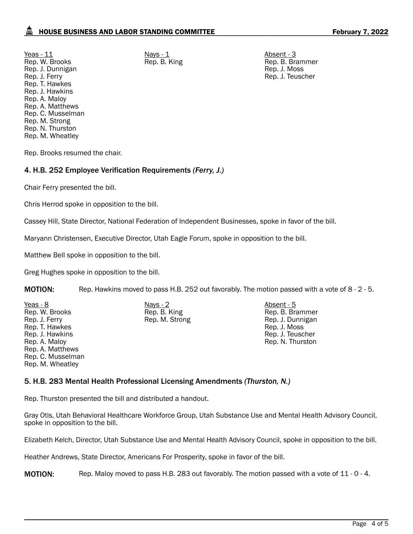<u>Yeas - 11</u> Absent - 3 Rep. W. Brooks Rep. J. Dunnigan Rep. J. Ferry Rep. T. Hawkes Rep. J. Hawkins Rep. A. Maloy Rep. A. Matthews Rep. C. Musselman Rep. M. Strong Rep. N. Thurston Rep. M. Wheatley

Rep. B. King Rep. B. Brammer Rep. J. Moss Rep. J. Teuscher

Rep. Brooks resumed the chair.

# 4. H.B. 252 Employee Verification Requirements *(Ferry, J.)*

Chair Ferry presented the bill.

Chris Herrod spoke in opposition to the bill.

Cassey Hill, State Director, National Federation of Independent Businesses, spoke in favor of the bill.

Maryann Christensen, Executive Director, Utah Eagle Forum, spoke in opposition to the bill.

Matthew Bell spoke in opposition to the bill.

Greg Hughes spoke in opposition to the bill.

MOTION: Rep. Hawkins moved to pass H.B. 252 out favorably. The motion passed with a vote of 8 - 2 - 5.

Yeas - 8 Nays - 2 Absent - 5 Rep. W. Brooks Rep. J. Ferry Rep. T. Hawkes Rep. J. Hawkins Rep. A. Maloy Rep. A. Matthews Rep. C. Musselman Rep. M. Wheatley

Rep. B. King Rep. M. Strong

Rep. B. Brammer Rep. J. Dunnigan Rep. J. Moss Rep. J. Teuscher Rep. N. Thurston

### 5. H.B. 283 Mental Health Professional Licensing Amendments *(Thurston, N.)*

Rep. Thurston presented the bill and distributed a handout.

Gray Otis, Utah Behavioral Healthcare Workforce Group, Utah Substance Use and Mental Health Advisory Council, spoke in opposition to the bill.

Elizabeth Kelch, Director, Utah Substance Use and Mental Health Advisory Council, spoke in opposition to the bill.

Heather Andrews, State Director, Americans For Prosperity, spoke in favor of the bill.

MOTION: Rep. Maloy moved to pass H.B. 283 out favorably. The motion passed with a vote of 11 - 0 - 4.